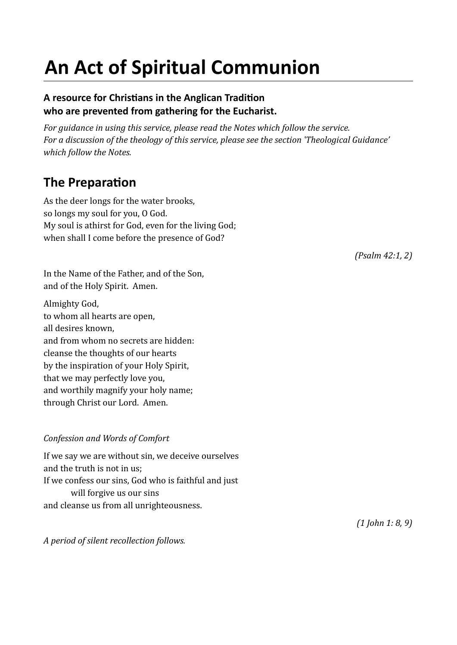# **An Act of Spiritual Communion**

#### **A resource for Christans in the Anglican Traditon who are prevented from gathering for the Eucharist.**

*For guidance in using this service, please read the Notes which follow the service. For a discussion of the theology of this service, please see the section 'Theological Guidance' which follow the Notes.*

### **The Preparation**

As the deer longs for the water brooks, so longs my soul for you, O God. My soul is athirst for God, even for the living God; when shall I come before the presence of God?

*(Psalm 42:1, 2)*

In the Name of the Father, and of the Son, and of the Holy Spirit. Amen.

Almighty God, to whom all hearts are open, all desires known, and from whom no secrets are hidden: cleanse the thoughts of our hearts by the inspiration of your Holy Spirit, that we may perfectly love you, and worthily magnify your holy name; through Christ our Lord. Amen.

#### *Confession and Words of Comfort*

If we say we are without sin, we deceive ourselves and the truth is not in us; If we confess our sins, God who is faithful and just will forgive us our sins and cleanse us from all unrighteousness.

*A period of silent recollection follows.*

*(1 John 1: 8, 9)*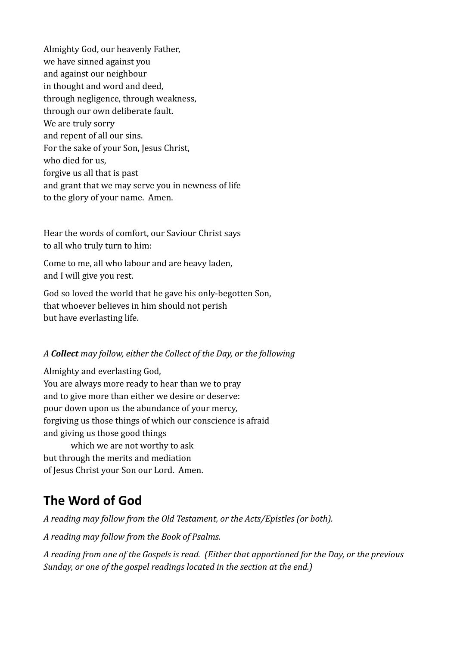Almighty God, our heavenly Father, we have sinned against you and against our neighbour in thought and word and deed, through negligence, through weakness, through our own deliberate fault. We are truly sorry and repent of all our sins. For the sake of your Son, Jesus Christ, who died for us, forgive us all that is past and grant that we may serve you in newness of life to the glory of your name. Amen.

Hear the words of comfort, our Saviour Christ says to all who truly turn to him:

Come to me, all who labour and are heavy laden, and I will give you rest.

God so loved the world that he gave his only-begotten Son, that whoever believes in him should not perish but have everlasting life.

#### *A Collect may follow, either the Collect of the Day, or the following*

Almighty and everlasting God, You are always more ready to hear than we to pray and to give more than either we desire or deserve: pour down upon us the abundance of your mercy, forgiving us those things of which our conscience is afraid and giving us those good things which we are not worthy to ask

but through the merits and mediation of Jesus Christ your Son our Lord. Amen.

### **The Word of God**

*A reading may follow from the Old Testament, or the Acts/Epistles (or both).*

*A reading may follow from the Book of Psalms.*

*A reading from one of the Gospels is read. (Either that apportioned for the Day, or the previous Sunday, or one of the gospel readings located in the section at the end.)*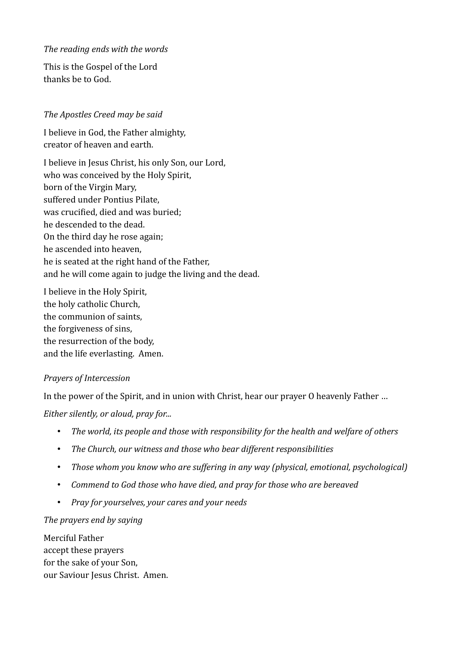#### *The reading ends with the words*

This is the Gospel of the Lord thanks be to God.

#### *The Apostles Creed may be said*

I believe in God, the Father almighty, creator of heaven and earth.

I believe in Jesus Christ, his only Son, our Lord, who was conceived by the Holy Spirit, born of the Virgin Mary, suffered under Pontius Pilate, was crucified, died and was buried; he descended to the dead. On the third day he rose again; he ascended into heaven, he is seated at the right hand of the Father, and he will come again to judge the living and the dead.

I believe in the Holy Spirit, the holy catholic Church, the communion of saints, the forgiveness of sins, the resurrection of the body, and the life everlasting. Amen.

#### *Prayers of Intercession*

In the power of the Spirit, and in union with Christ, hear our prayer O heavenly Father ...

*Either silently, or aloud, pray for...*

- *The world, its people and those with responsibility for the health and welfare of others*
- *The Church, our witness and those who bear different responsibilities*
- *Those whom you know who are suffering in any way (physical, emotional, psychological)*
- *Commend to God those who have died, and pray for those who are bereaved*
- *Pray for yourselves, your cares and your needs*

#### *The prayers end by saying*

Merciful Father accept these prayers for the sake of your Son, our Saviour Jesus Christ. Amen.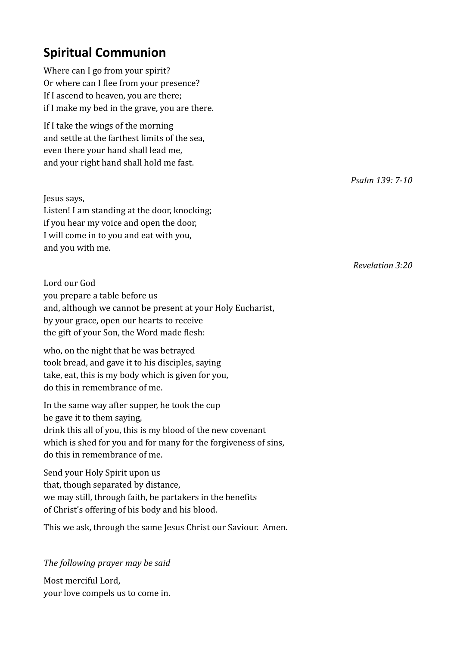## **Spiritual Communion**

Where can I go from your spirit? Or where can I flee from your presence? If I ascend to heaven, you are there; if I make my bed in the grave, you are there.

If I take the wings of the morning and settle at the farthest limits of the sea, even there your hand shall lead me, and your right hand shall hold me fast.

*Psalm 139: 7-10*

*Revelation 3:20*

Jesus says, Listen! I am standing at the door, knocking;

if you hear my voice and open the door, I will come in to you and eat with you, and you with me.

Lord our God you prepare a table before us and, although we cannot be present at your Holy Eucharist, by your grace, open our hearts to receive the gift of your Son, the Word made flesh:

who, on the night that he was betrayed took bread, and gave it to his disciples, saying take, eat, this is my body which is given for you, do this in remembrance of me.

In the same way after supper, he took the cup he gave it to them saying, drink this all of you, this is my blood of the new covenant which is shed for you and for many for the forgiveness of sins, do this in remembrance of me.

Send your Holy Spirit upon us that, though separated by distance, we may still, through faith, be partakers in the benefits of Christ's offering of his body and his blood.

This we ask, through the same Jesus Christ our Saviour. Amen.

*The following prayer may be said*

Most merciful Lord, your love compels us to come in.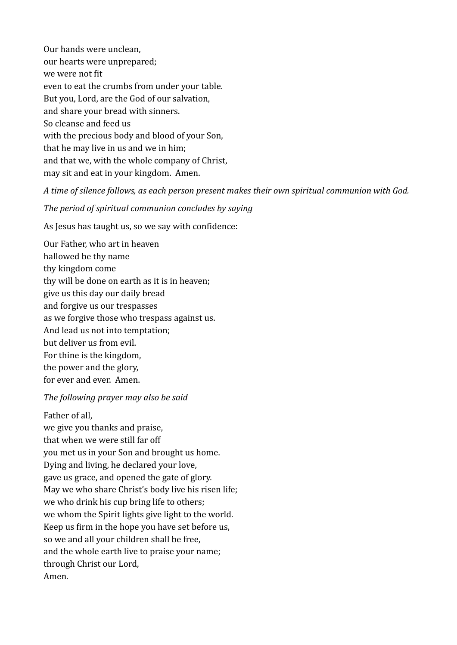Our hands were unclean, our hearts were unprepared; we were not fit even to eat the crumbs from under your table. But you, Lord, are the God of our salvation, and share your bread with sinners. So cleanse and feed us with the precious body and blood of your Son, that he may live in us and we in him; and that we, with the whole company of Christ, may sit and eat in your kingdom. Amen.

*A time of silence follows, as each person present makes their own spiritual communion with God.*

*The period of spiritual communion concludes by saying*

As Jesus has taught us, so we say with confidence:

Our Father, who art in heaven hallowed be thy name thy kingdom come thy will be done on earth as it is in heaven; give us this day our daily bread and forgive us our trespasses as we forgive those who trespass against us. And lead us not into temptation; but deliver us from evil. For thine is the kingdom, the power and the glory, for ever and ever. Amen.

#### *The following prayer may also be said*

#### Father of all,

we give you thanks and praise, that when we were still far off you met us in your Son and brought us home. Dying and living, he declared your love, gave us grace, and opened the gate of glory. May we who share Christ's body live his risen life; we who drink his cup bring life to others; we whom the Spirit lights give light to the world. Keep us firm in the hope you have set before us, so we and all your children shall be free, and the whole earth live to praise your name; through Christ our Lord, Amen.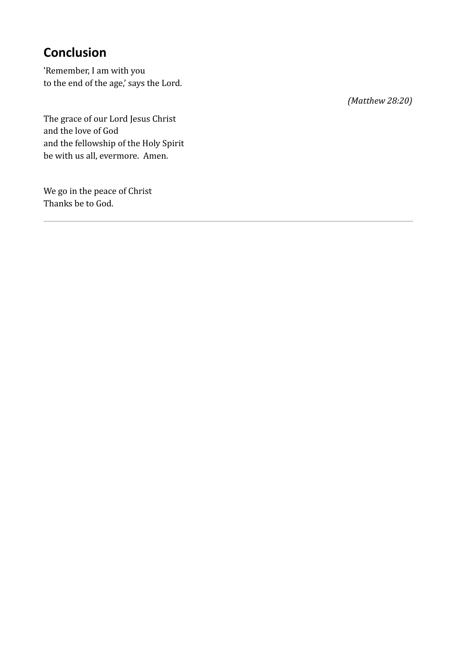# **Conclusion**

'Remember, I am with you to the end of the age,' says the Lord.

The grace of our Lord Jesus Christ and the love of God and the fellowship of the Holy Spirit be with us all, evermore. Amen.

We go in the peace of Christ Thanks be to God.

*(Matthew 28:20)*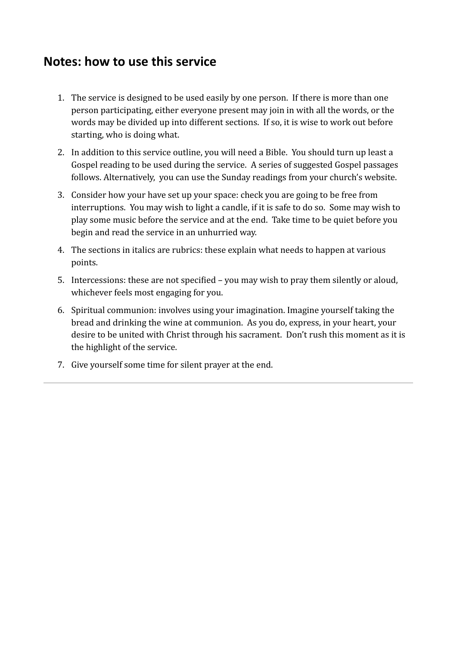### **Notes: how to use this service**

- 1. The service is designed to be used easily by one person. If there is more than one person participating, either everyone present may join in with all the words, or the words may be divided up into different sections. If so, it is wise to work out before starting, who is doing what.
- 2. In addition to this service outline, you will need a Bible. You should turn up least a Gospel reading to be used during the service. A series of suggested Gospel passages follows. Alternatively, you can use the Sunday readings from your church's website.
- 3. Consider how your have set up your space: check you are going to be free from interruptions. You may wish to light a candle, if it is safe to do so. Some may wish to play some music before the service and at the end. Take time to be quiet before you begin and read the service in an unhurried way.
- 4. The sections in italics are rubrics: these explain what needs to happen at various points.
- 5. Intercessions: these are not specified you may wish to pray them silently or aloud, whichever feels most engaging for you.
- 6. Spiritual communion: involves using your imagination. Imagine yourself taking the bread and drinking the wine at communion. As you do, express, in your heart, your desire to be united with Christ through his sacrament. Don't rush this moment as it is the highlight of the service.
- 7. Give yourself some time for silent prayer at the end.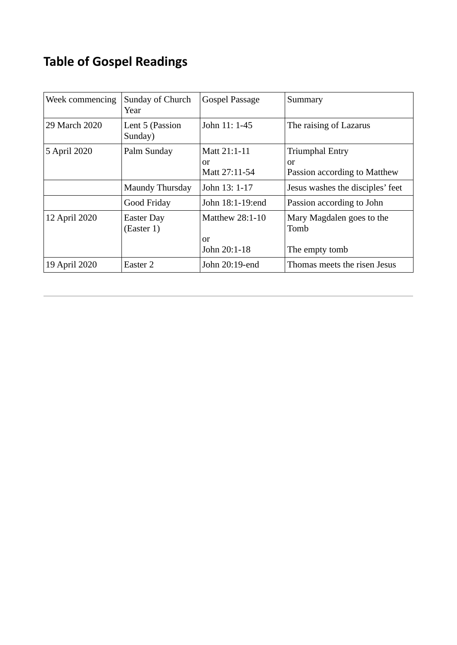# **Table of Gospel Readings**

| Week commencing | Sunday of Church<br>Year        | Gospel Passage                        | Summary                                                      |
|-----------------|---------------------------------|---------------------------------------|--------------------------------------------------------------|
| 29 March 2020   | Lent 5 (Passion<br>Sunday)      | John 11: 1-45                         | The raising of Lazarus                                       |
| 5 April 2020    | Palm Sunday                     | Matt 21:1-11<br>or<br>Matt 27:11-54   | <b>Triumphal Entry</b><br>or<br>Passion according to Matthew |
|                 | Maundy Thursday                 | John 13: 1-17                         | Jesus washes the disciples' feet                             |
|                 | Good Friday                     | John 18:1-19:end                      | Passion according to John                                    |
| 12 April 2020   | <b>Easter Day</b><br>(Esster 1) | Matthew 28:1-10<br>or<br>John 20:1-18 | Mary Magdalen goes to the<br>Tomb<br>The empty tomb          |
| 19 April 2020   | Easter 2                        | John 20:19-end                        | Thomas meets the risen Jesus                                 |